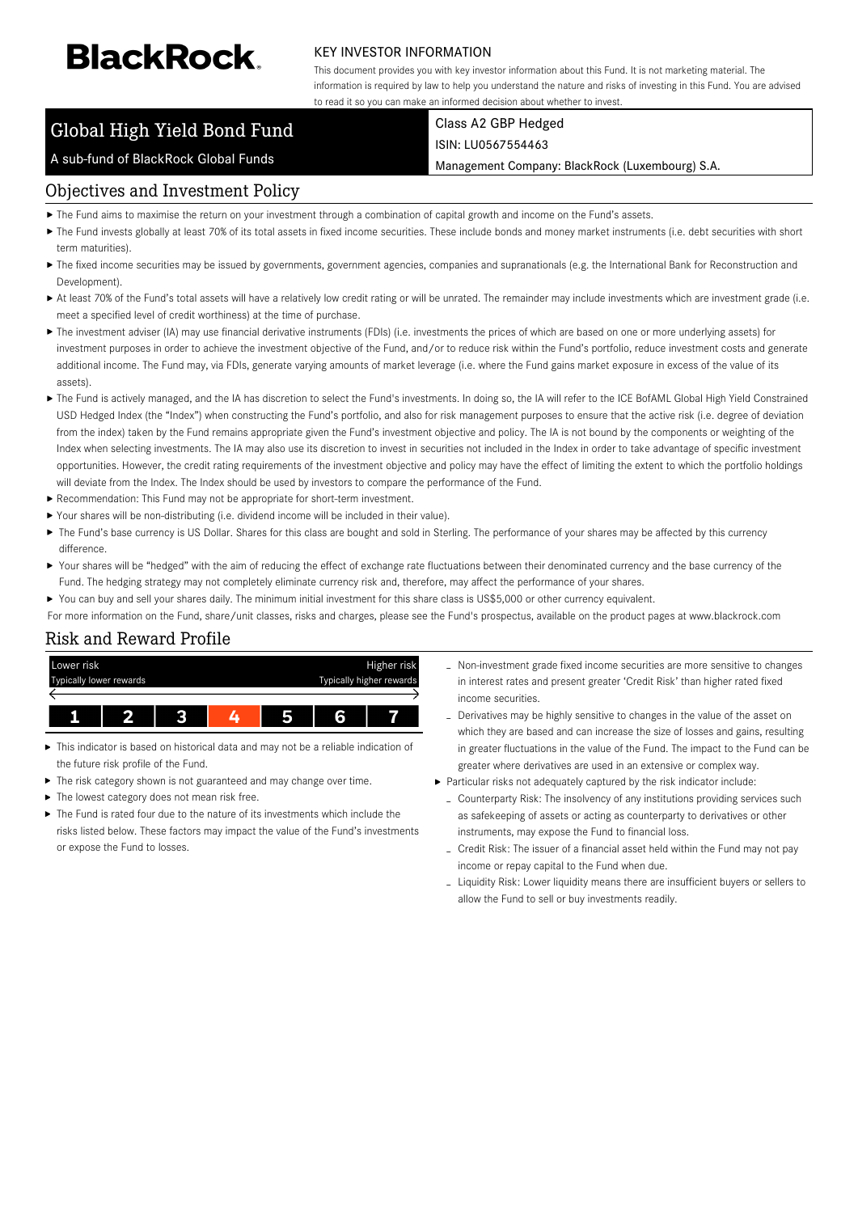# **BlackRock**

#### KEY INVESTOR INFORMATION

This document provides you with key investor information about this Fund. It is not marketing material. The information is required by law to help you understand the nature and risks of investing in this Fund. You are advised to read it so you can make an informed decision about whether to invest.

## Global High Yield Bond Fund

# Class A2 GBP Hedged

A sub-fund of BlackRock Global Funds

#### ISIN: LU0567554463

Management Company: BlackRock (Luxembourg) S.A.

#### Objectives and Investment Policy

- The Fund aims to maximise the return on your investment through a combination of capital growth and income on the Fund's assets.
- ▶ The Fund invests globally at least 70% of its total assets in fixed income securities. These include bonds and money market instruments (i.e. debt securities with short term maturities).
- ▶ The fixed income securities may be issued by governments, government agencies, companies and supranationals (e.g. the International Bank for Reconstruction and Development).
- At least 70% of the Fund's total assets will have a relatively low credit rating or will be unrated. The remainder may include investments which are investment grade (i.e. meet a specified level of credit worthiness) at the time of purchase.
- ▶ The investment adviser (IA) may use financial derivative instruments (FDIs) (i.e. investments the prices of which are based on one or more underlying assets) for investment purposes in order to achieve the investment objective of the Fund, and/or to reduce risk within the Fund's portfolio, reduce investment costs and generate additional income. The Fund may, via FDIs, generate varying amounts of market leverage (i.e. where the Fund gains market exposure in excess of the value of its assets).
- ▶ The Fund is actively managed, and the IA has discretion to select the Fund's investments. In doing so, the IA will refer to the ICE BofAML Global High Yield Constrained USD Hedged Index (the "Index") when constructing the Fund's portfolio, and also for risk management purposes to ensure that the active risk (i.e. degree of deviation from the index) taken by the Fund remains appropriate given the Fund's investment objective and policy. The IA is not bound by the components or weighting of the Index when selecting investments. The IA may also use its discretion to invest in securities not included in the Index in order to take advantage of specific investment opportunities. However, the credit rating requirements of the investment objective and policy may have the effect of limiting the extent to which the portfolio holdings will deviate from the Index. The Index should be used by investors to compare the performance of the Fund.
- Recommendation: This Fund may not be appropriate for short-term investment.
- Your shares will be non-distributing (i.e. dividend income will be included in their value).
- ▶ The Fund's base currency is US Dollar. Shares for this class are bought and sold in Sterling. The performance of your shares may be affected by this currency difference.
- Your shares will be "hedged" with the aim of reducing the effect of exchange rate fluctuations between their denominated currency and the base currency of the Fund. The hedging strategy may not completely eliminate currency risk and, therefore, may affect the performance of your shares.
- $\blacktriangleright$ You can buy and sell your shares daily. The minimum initial investment for this share class is US\$5,000 or other currency equivalent.

For more information on the Fund, share/unit classes, risks and charges, please see the Fund's prospectus, available on the product pages at www.blackrock.com

#### Risk and Reward Profile



- This indicator is based on historical data and may not be a reliable indication of the future risk profile of the Fund.
- The risk category shown is not guaranteed and may change over time.
- The lowest category does not mean risk free.
- The Fund is rated four due to the nature of its investments which include the risks listed below. These factors may impact the value of the Fund's investments or expose the Fund to losses.
- Non-investment grade fixed income securities are more sensitive to changes in interest rates and present greater 'Credit Risk' than higher rated fixed income securities.
- Derivatives may be highly sensitive to changes in the value of the asset on which they are based and can increase the size of losses and gains, resulting in greater fluctuations in the value of the Fund. The impact to the Fund can be greater where derivatives are used in an extensive or complex way.
- Particular risks not adequately captured by the risk indicator include:
	- Counterparty Risk: The insolvency of any institutions providing services such as safekeeping of assets or acting as counterparty to derivatives or other instruments, may expose the Fund to financial loss.
	- Credit Risk: The issuer of a financial asset held within the Fund may not pay income or repay capital to the Fund when due.
	- Liquidity Risk: Lower liquidity means there are insufficient buyers or sellers to allow the Fund to sell or buy investments readily.